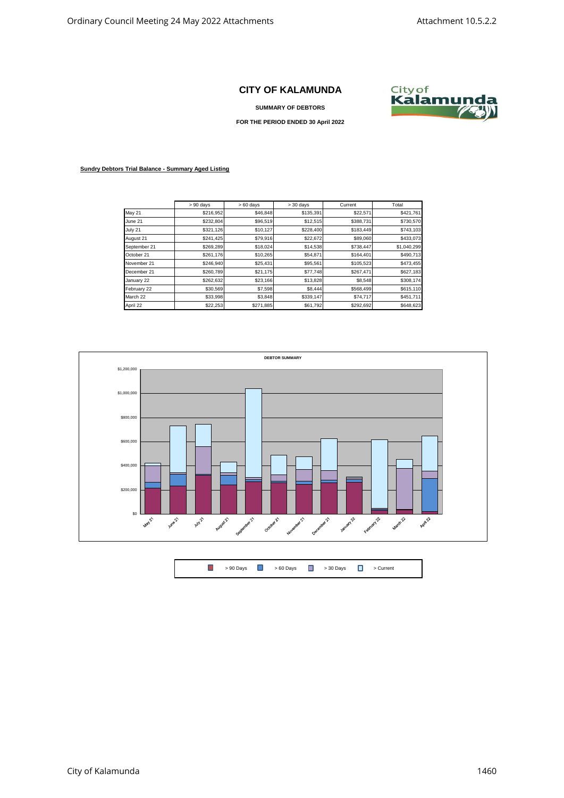## **CITY OF KALAMUNDA**

**SUMMARY OF DEBTORS**

**FOR THE PERIOD ENDED 30 April 2022**



## **Sundry Debtors Trial Balance - Summary Aged Listing**

|               | $> 90$ days | $>60$ days | $> 30$ days | Current   | Total       |
|---------------|-------------|------------|-------------|-----------|-------------|
| <b>May 21</b> | \$216,952   | \$46,848   | \$135,391   | \$22,571  | \$421,761   |
| June 21       | \$232,804   | \$96,519   | \$12,515    | \$388,731 | \$730,570   |
| July 21       | \$321,126   | \$10,127   | \$228,400   | \$183,449 | \$743,103   |
| August 21     | \$241,425   | \$79,916   | \$22,672    | \$89,060  | \$433,073   |
| September 21  | \$269,289   | \$18,024   | \$14,538    | \$738.447 | \$1,040.299 |
| October 21    | \$261,176   | \$10,265   | \$54,871    | \$164,401 | \$490,713   |
| November 21   | \$246,940   | \$25,431   | \$95,561    | \$105,523 | \$473,455   |
| December 21   | \$260,789   | \$21,175   | \$77,748    | \$267,471 | \$627,183   |
| January 22    | \$262,632   | \$23,166   | \$13,828    | \$8,548   | \$308,174   |
| February 22   | \$30,569    | \$7,598    | \$8,444     | \$568,499 | \$615,110   |
| March 22      | \$33,998    | \$3,848    | \$339,147   | \$74,717  | \$451,711   |
| April 22      | \$22,253    | \$271,885  | \$61,792    | \$292,692 | \$648,623   |



| $\Box$ > 90 Days $\Box$ > 60 Days $\Box$ > 30 Days $\Box$ > Current |  |  |  |  |  |  |  |  |  |
|---------------------------------------------------------------------|--|--|--|--|--|--|--|--|--|
|---------------------------------------------------------------------|--|--|--|--|--|--|--|--|--|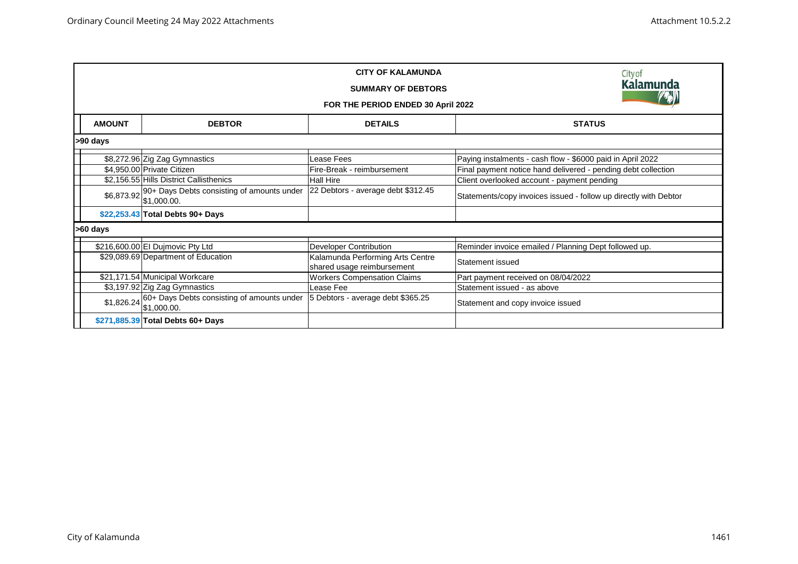| <b>CITY OF KALAMUNDA</b><br><b>SUMMARY OF DEBTORS</b><br>FOR THE PERIOD ENDED 30 April 2022 |                                                                                  |                                                                | Cityof<br><b>Kalamunda</b><br>$\left(\sqrt{2}\right)$            |  |  |
|---------------------------------------------------------------------------------------------|----------------------------------------------------------------------------------|----------------------------------------------------------------|------------------------------------------------------------------|--|--|
| <b>AMOUNT</b>                                                                               | <b>DEBTOR</b>                                                                    | <b>DETAILS</b>                                                 | <b>STATUS</b>                                                    |  |  |
| >90 days                                                                                    |                                                                                  |                                                                |                                                                  |  |  |
|                                                                                             | \$8,272.96 Zig Zag Gymnastics                                                    | Lease Fees                                                     | Paying instalments - cash flow - \$6000 paid in April 2022       |  |  |
|                                                                                             | \$4,950.00 Private Citizen                                                       | Fire-Break - reimbursement                                     | Final payment notice hand delivered - pending debt collection    |  |  |
|                                                                                             | \$2,156.55 Hills District Callisthenics                                          | <b>Hall Hire</b>                                               | Client overlooked account - payment pending                      |  |  |
|                                                                                             | \$6,873.92 90+ Days Debts consisting of amounts under<br>\$6,873.92 \$1,000.00.  | 22 Debtors - average debt \$312.45                             | Statements/copy invoices issued - follow up directly with Debtor |  |  |
|                                                                                             | \$22,253.43 Total Debts 90+ Days                                                 |                                                                |                                                                  |  |  |
| >60 days                                                                                    |                                                                                  |                                                                |                                                                  |  |  |
|                                                                                             | \$216,600.00 El Dujmovic Pty Ltd                                                 | <b>Developer Contribution</b>                                  | Reminder invoice emailed / Planning Dept followed up.            |  |  |
|                                                                                             | \$29,089.69 Department of Education                                              | Kalamunda Performing Arts Centre<br>shared usage reimbursement | Statement issued                                                 |  |  |
|                                                                                             | \$21,171.54 Municipal Workcare                                                   | <b>Workers Compensation Claims</b>                             | Part payment received on 08/04/2022                              |  |  |
|                                                                                             | \$3,197.92 Zig Zag Gymnastics                                                    | Lease Fee                                                      | Statement issued - as above                                      |  |  |
|                                                                                             | $$1,826.24$ 60+ Days Debts consisting of amounts under<br>\$1,826.24 \$1,000.00. | 5 Debtors - average debt \$365.25                              | Statement and copy invoice issued                                |  |  |
|                                                                                             | \$271,885.39 Total Debts 60+ Days                                                |                                                                |                                                                  |  |  |